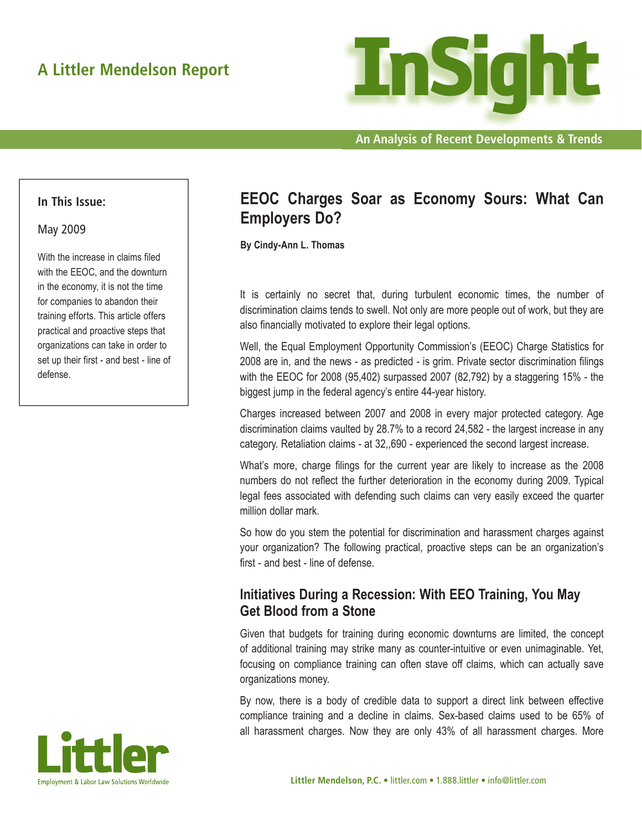

**An Analysis of Recent Developments & Trends**

#### **In This Issue:**

#### May 2009

With the increase in claims filed with the EEOC, and the downturn in the economy, it is not the time for companies to abandon their training efforts. This article offers practical and proactive steps that organizations can take in order to set up their first - and best - line of defense.

# **EEOC Charges Soar as Economy Sours: What Can Employers Do?**

**By Cindy-Ann L. Thomas**

It is certainly no secret that, during turbulent economic times, the number of discrimination claims tends to swell. Not only are more people out of work, but they are also financially motivated to explore their legal options.

Well, the Equal Employment Opportunity Commission's (EEOC) Charge Statistics for 2008 are in, and the news - as predicted - is grim. Private sector discrimination filings with the EEOC for 2008 (95,402) surpassed 2007 (82,792) by a staggering 15% - the biggest jump in the federal agency's entire 44-year history.

Charges increased between 2007 and 2008 in every major protected category. Age discrimination claims vaulted by 28.7% to a record 24,582 - the largest increase in any category. Retaliation claims - at 32,,690 - experienced the second largest increase.

What's more, charge filings for the current year are likely to increase as the 2008 numbers do not reflect the further deterioration in the economy during 2009. Typical legal fees associated with defending such claims can very easily exceed the quarter million dollar mark.

So how do you stem the potential for discrimination and harassment charges against your organization? The following practical, proactive steps can be an organization's first - and best - line of defense.

## **Initiatives During a Recession: With EEO Training, You May Get Blood from a Stone**

Given that budgets for training during economic downturns are limited, the concept of additional training may strike many as counter-intuitive or even unimaginable. Yet, focusing on compliance training can often stave off claims, which can actually save organizations money.

By now, there is a body of credible data to support a direct link between effective compliance training and a decline in claims. Sex-based claims used to be 65% of all harassment charges. Now they are only 43% of all harassment charges. More

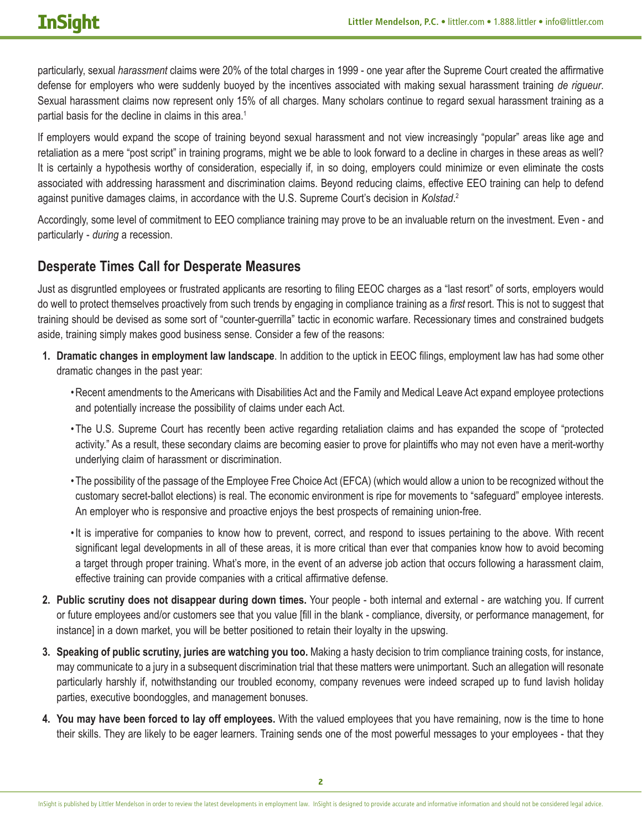particularly, sexual *harassment* claims were 20% of the total charges in 1999 - one year after the Supreme Court created the affirmative defense for employers who were suddenly buoyed by the incentives associated with making sexual harassment training *de rigueur*. Sexual harassment claims now represent only 15% of all charges. Many scholars continue to regard sexual harassment training as a partial basis for the decline in claims in this area.<sup>1</sup>

If employers would expand the scope of training beyond sexual harassment and not view increasingly "popular" areas like age and retaliation as a mere "post script" in training programs, might we be able to look forward to a decline in charges in these areas as well? It is certainly a hypothesis worthy of consideration, especially if, in so doing, employers could minimize or even eliminate the costs associated with addressing harassment and discrimination claims. Beyond reducing claims, effective EEO training can help to defend against punitive damages claims, in accordance with the U.S. Supreme Court's decision in *Kolstad*. 2

Accordingly, some level of commitment to EEO compliance training may prove to be an invaluable return on the investment. Even - and particularly - *during* a recession.

## **Desperate Times Call for Desperate Measures**

Just as disgruntled employees or frustrated applicants are resorting to filing EEOC charges as a "last resort" of sorts, employers would do well to protect themselves proactively from such trends by engaging in compliance training as a *first* resort. This is not to suggest that training should be devised as some sort of "counter-guerrilla" tactic in economic warfare. Recessionary times and constrained budgets aside, training simply makes good business sense. Consider a few of the reasons:

- **1. Dramatic changes in employment law landscape**. In addition to the uptick in EEOC filings, employment law has had some other dramatic changes in the past year:
	- •Recent amendments to the Americans with Disabilities Act and the Family and Medical Leave Act expand employee protections and potentially increase the possibility of claims under each Act.
	- •The U.S. Supreme Court has recently been active regarding retaliation claims and has expanded the scope of "protected activity." As a result, these secondary claims are becoming easier to prove for plaintiffs who may not even have a merit-worthy underlying claim of harassment or discrimination.
	- •The possibility of the passage of the Employee Free Choice Act (EFCA) (which would allow a union to be recognized without the customary secret-ballot elections) is real. The economic environment is ripe for movements to "safeguard" employee interests. An employer who is responsive and proactive enjoys the best prospects of remaining union-free.
	- •It is imperative for companies to know how to prevent, correct, and respond to issues pertaining to the above. With recent significant legal developments in all of these areas, it is more critical than ever that companies know how to avoid becoming a target through proper training. What's more, in the event of an adverse job action that occurs following a harassment claim, effective training can provide companies with a critical affirmative defense.
- **2. Public scrutiny does not disappear during down times.** Your people both internal and external are watching you. If current or future employees and/or customers see that you value [fill in the blank - compliance, diversity, or performance management, for instance] in a down market, you will be better positioned to retain their loyalty in the upswing.
- **3. Speaking of public scrutiny, juries are watching you too.** Making a hasty decision to trim compliance training costs, for instance, may communicate to a jury in a subsequent discrimination trial that these matters were unimportant. Such an allegation will resonate particularly harshly if, notwithstanding our troubled economy, company revenues were indeed scraped up to fund lavish holiday parties, executive boondoggles, and management bonuses.
- **4. You may have been forced to lay off employees.** With the valued employees that you have remaining, now is the time to hone their skills. They are likely to be eager learners. Training sends one of the most powerful messages to your employees - that they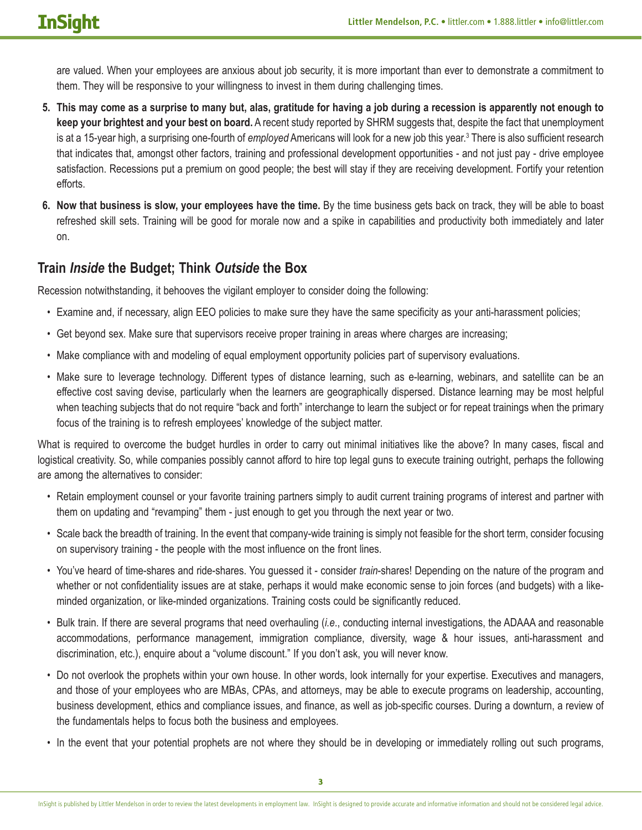are valued. When your employees are anxious about job security, it is more important than ever to demonstrate a commitment to them. They will be responsive to your willingness to invest in them during challenging times.

- **5. This may come as a surprise to many but, alas, gratitude for having a job during a recession is apparently not enough to keep your brightest and your best on board.** A recent study reported by SHRM suggests that, despite the fact that unemployment is at a 15-year high, a surprising one-fourth of *employed* Americans will look for a new job this year.<sup>3</sup> There is also sufficient research that indicates that, amongst other factors, training and professional development opportunities - and not just pay - drive employee satisfaction. Recessions put a premium on good people; the best will stay if they are receiving development. Fortify your retention efforts.
- **6. Now that business is slow, your employees have the time.** By the time business gets back on track, they will be able to boast refreshed skill sets. Training will be good for morale now and a spike in capabilities and productivity both immediately and later on.

## **Train** *Inside* **the Budget; Think** *Outside* **the Box**

Recession notwithstanding, it behooves the vigilant employer to consider doing the following:

- Examine and, if necessary, align EEO policies to make sure they have the same specificity as your anti-harassment policies;
- Get beyond sex. Make sure that supervisors receive proper training in areas where charges are increasing;
- Make compliance with and modeling of equal employment opportunity policies part of supervisory evaluations.
- Make sure to leverage technology. Different types of distance learning, such as e-learning, webinars, and satellite can be an effective cost saving devise, particularly when the learners are geographically dispersed. Distance learning may be most helpful when teaching subjects that do not require "back and forth" interchange to learn the subject or for repeat trainings when the primary focus of the training is to refresh employees' knowledge of the subject matter.

What is required to overcome the budget hurdles in order to carry out minimal initiatives like the above? In many cases, fiscal and logistical creativity. So, while companies possibly cannot afford to hire top legal guns to execute training outright, perhaps the following are among the alternatives to consider:

- Retain employment counsel or your favorite training partners simply to audit current training programs of interest and partner with them on updating and "revamping" them - just enough to get you through the next year or two.
- Scale back the breadth of training. In the event that company-wide training is simply not feasible for the short term, consider focusing on supervisory training - the people with the most influence on the front lines.
- You've heard of time-shares and ride-shares. You guessed it consider *train*-shares! Depending on the nature of the program and whether or not confidentiality issues are at stake, perhaps it would make economic sense to join forces (and budgets) with a likeminded organization, or like-minded organizations. Training costs could be significantly reduced.
- Bulk train. If there are several programs that need overhauling (*i.e*., conducting internal investigations, the ADAAA and reasonable accommodations, performance management, immigration compliance, diversity, wage & hour issues, anti-harassment and discrimination, etc.), enquire about a "volume discount." If you don't ask, you will never know.
- Do not overlook the prophets within your own house. In other words, look internally for your expertise. Executives and managers, and those of your employees who are MBAs, CPAs, and attorneys, may be able to execute programs on leadership, accounting, business development, ethics and compliance issues, and finance, as well as job-specific courses. During a downturn, a review of the fundamentals helps to focus both the business and employees.
- In the event that your potential prophets are not where they should be in developing or immediately rolling out such programs,